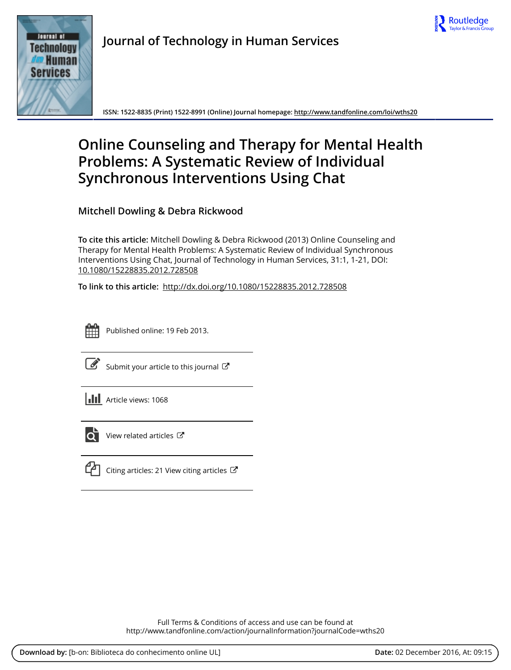



**Journal of Technology in Human Services**

**ISSN: 1522-8835 (Print) 1522-8991 (Online) Journal homepage:<http://www.tandfonline.com/loi/wths20>**

# **Online Counseling and Therapy for Mental Health Problems: A Systematic Review of Individual Synchronous Interventions Using Chat**

**Mitchell Dowling & Debra Rickwood**

**To cite this article:** Mitchell Dowling & Debra Rickwood (2013) Online Counseling and Therapy for Mental Health Problems: A Systematic Review of Individual Synchronous Interventions Using Chat, Journal of Technology in Human Services, 31:1, 1-21, DOI: [10.1080/15228835.2012.728508](http://www.tandfonline.com/action/showCitFormats?doi=10.1080/15228835.2012.728508)

**To link to this article:** <http://dx.doi.org/10.1080/15228835.2012.728508>



Published online: 19 Feb 2013.

|--|

[Submit your article to this journal](http://www.tandfonline.com/action/authorSubmission?journalCode=wths20&show=instructions)  $\mathbb{Z}$ 

| <b>III</b> Article views: 1068 |
|--------------------------------|
|                                |



 $\overrightarrow{O}$  [View related articles](http://www.tandfonline.com/doi/mlt/10.1080/15228835.2012.728508)  $\overrightarrow{C}$ 



 $\mathbb{Z}$  [Citing articles: 21 View citing articles](http://www.tandfonline.com/doi/citedby/10.1080/15228835.2012.728508#tabModule)  $\mathbb{Z}$ 

Full Terms & Conditions of access and use can be found at <http://www.tandfonline.com/action/journalInformation?journalCode=wths20>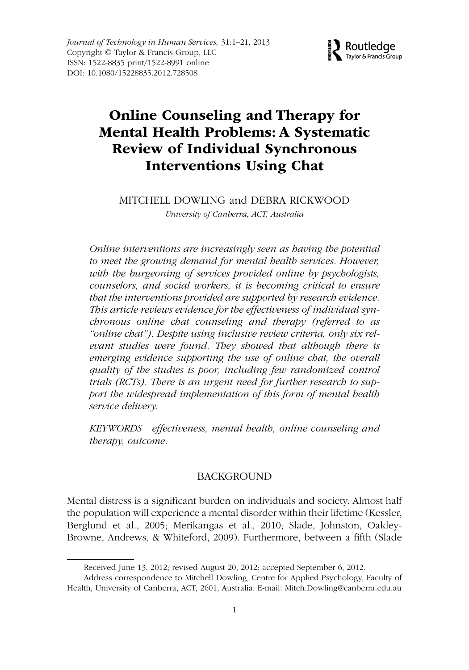

# **Online Counseling and Therapy for Mental Health Problems: A Systematic Review of Individual Synchronous Interventions Using Chat**

MITCHELL DOWLING and DEBRA RICKWOOD University of Canberra, ACT, Australia

Online interventions are increasingly seen as having the potential to meet the growing demand for mental health services. However, with the burgeoning of services provided online by psychologists, counselors, and social workers, it is becoming critical to ensure that the interventions provided are supported by research evidence. This article reviews evidence for the effectiveness of individual synchronous online chat counseling and therapy (referred to as "online chat"). Despite using inclusive review criteria, only six relevant studies were found. They showed that although there is emerging evidence supporting the use of online chat, the overall quality of the studies is poor, including few randomized control trials (RCTs). There is an urgent need for further research to support the widespread implementation of this form of mental health service delivery.

KEYWORDS effectiveness, mental health, online counseling and therapy, outcome.

# BACKGROUND

Mental distress is a significant burden on individuals and society. Almost half the population will experience a mental disorder within their lifetime (Kessler, Berglund et al., 2005; Merikangas et al., 2010; Slade, Johnston, Oakley-Browne, Andrews, & Whiteford, 2009). Furthermore, between a fifth (Slade

Received June 13, 2012; revised August 20, 2012; accepted September 6, 2012.

Address correspondence to Mitchell Dowling, Centre for Applied Psychology, Faculty of Health, University of Canberra, ACT, 2601, Australia. E-mail: Mitch.Dowling@canberra.edu.au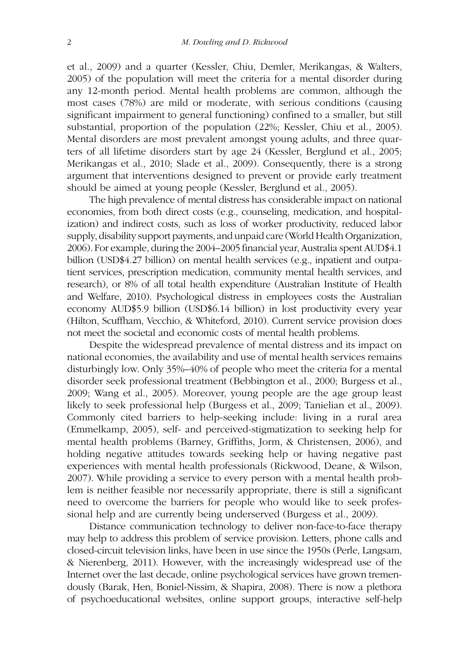et al., 2009) and a quarter (Kessler, Chiu, Demler, Merikangas, & Walters, 2005) of the population will meet the criteria for a mental disorder during any 12-month period. Mental health problems are common, although the most cases (78%) are mild or moderate, with serious conditions (causing significant impairment to general functioning) confined to a smaller, but still substantial, proportion of the population (22%; Kessler, Chiu et al., 2005). Mental disorders are most prevalent amongst young adults, and three quarters of all lifetime disorders start by age 24 (Kessler, Berglund et al., 2005; Merikangas et al., 2010; Slade et al., 2009). Consequently, there is a strong argument that interventions designed to prevent or provide early treatment should be aimed at young people (Kessler, Berglund et al., 2005).

The high prevalence of mental distress has considerable impact on national economies, from both direct costs (e.g., counseling, medication, and hospitalization) and indirect costs, such as loss of worker productivity, reduced labor supply, disability support payments, and unpaid care (World Health Organization, 2006). For example, during the 2004–2005 financial year, Australia spent AUD\$4.1 billion (USD\$4.27 billion) on mental health services (e.g., inpatient and outpatient services, prescription medication, community mental health services, and research), or 8% of all total health expenditure (Australian Institute of Health and Welfare, 2010). Psychological distress in employees costs the Australian economy AUD\$5.9 billion (USD\$6.14 billion) in lost productivity every year (Hilton, Scuffham, Vecchio, & Whiteford, 2010). Current service provision does not meet the societal and economic costs of mental health problems.

Despite the widespread prevalence of mental distress and its impact on national economies, the availability and use of mental health services remains disturbingly low. Only 35%–40% of people who meet the criteria for a mental disorder seek professional treatment (Bebbington et al., 2000; Burgess et al., 2009; Wang et al., 2005). Moreover, young people are the age group least likely to seek professional help (Burgess et al., 2009; Tanielian et al., 2009). Commonly cited barriers to help-seeking include: living in a rural area (Emmelkamp, 2005), self- and perceived-stigmatization to seeking help for mental health problems (Barney, Griffiths, Jorm, & Christensen, 2006), and holding negative attitudes towards seeking help or having negative past experiences with mental health professionals (Rickwood, Deane, & Wilson, 2007). While providing a service to every person with a mental health problem is neither feasible nor necessarily appropriate, there is still a significant need to overcome the barriers for people who would like to seek professional help and are currently being underserved (Burgess et al., 2009).

Distance communication technology to deliver non-face-to-face therapy may help to address this problem of service provision. Letters, phone calls and closed-circuit television links, have been in use since the 1950s (Perle, Langsam, & Nierenberg, 2011). However, with the increasingly widespread use of the Internet over the last decade, online psychological services have grown tremendously (Barak, Hen, Boniel-Nissim, & Shapira, 2008). There is now a plethora of psychoeducational websites, online support groups, interactive self-help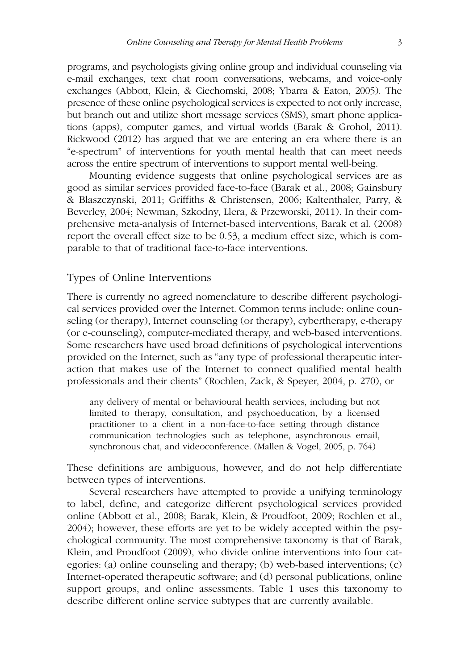programs, and psychologists giving online group and individual counseling via e-mail exchanges, text chat room conversations, webcams, and voice-only exchanges (Abbott, Klein, & Ciechomski, 2008; Ybarra & Eaton, 2005). The presence of these online psychological services is expected to not only increase, but branch out and utilize short message services (SMS), smart phone applications (apps), computer games, and virtual worlds (Barak & Grohol, 2011). Rickwood (2012) has argued that we are entering an era where there is an "e-spectrum" of interventions for youth mental health that can meet needs across the entire spectrum of interventions to support mental well-being.

Mounting evidence suggests that online psychological services are as good as similar services provided face-to-face (Barak et al., 2008; Gainsbury & Blaszczynski, 2011; Griffiths & Christensen, 2006; Kaltenthaler, Parry, & Beverley, 2004; Newman, Szkodny, Llera, & Przeworski, 2011). In their comprehensive meta-analysis of Internet-based interventions, Barak et al. (2008) report the overall effect size to be 0.53, a medium effect size, which is comparable to that of traditional face-to-face interventions.

#### Types of Online Interventions

There is currently no agreed nomenclature to describe different psychological services provided over the Internet. Common terms include: online counseling (or therapy), Internet counseling (or therapy), cybertherapy, e-therapy (or e-counseling), computer-mediated therapy, and web-based interventions. Some researchers have used broad definitions of psychological interventions provided on the Internet, such as "any type of professional therapeutic interaction that makes use of the Internet to connect qualified mental health professionals and their clients" (Rochlen, Zack, & Speyer, 2004, p. 270), or

any delivery of mental or behavioural health services, including but not limited to therapy, consultation, and psychoeducation, by a licensed practitioner to a client in a non-face-to-face setting through distance communication technologies such as telephone, asynchronous email, synchronous chat, and videoconference. (Mallen & Vogel, 2005, p. 764)

These definitions are ambiguous, however, and do not help differentiate between types of interventions.

Several researchers have attempted to provide a unifying terminology to label, define, and categorize different psychological services provided online (Abbott et al., 2008; Barak, Klein, & Proudfoot, 2009; Rochlen et al., 2004); however, these efforts are yet to be widely accepted within the psychological community. The most comprehensive taxonomy is that of Barak, Klein, and Proudfoot (2009), who divide online interventions into four categories: (a) online counseling and therapy; (b) web-based interventions; (c) Internet-operated therapeutic software; and (d) personal publications, online support groups, and online assessments. Table 1 uses this taxonomy to describe different online service subtypes that are currently available.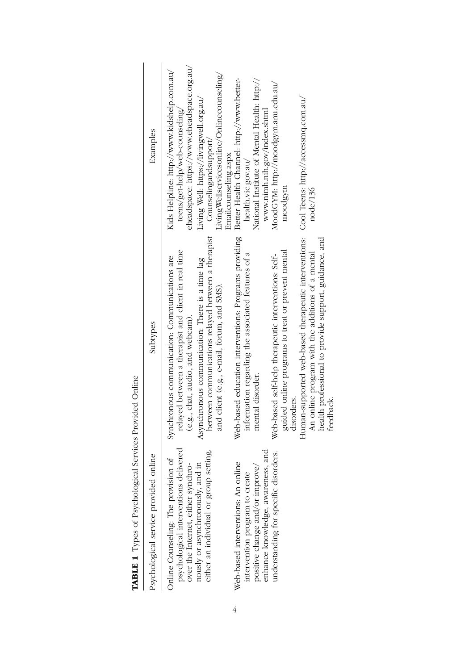|                                                         | Examples                              | eheadspace: https://www.eheadspace.org.au/<br>Kids Helpline: http://www.kidshelp.com.au/<br>LivingWellservicesonline/Onlinecounseling/<br>Living Well: https://livingwell.org.au/<br>teens/get-help/web-counseling/<br>Counselingandsupport/<br>Emailcounseling.aspx                            | Better Health Channel: http://www.better-<br>National Institute of Mental Health: http://<br>MoodGYM: http://moodgym.anu.edu.au/<br>Cool Teens: http://accessmq.com.au/<br>www.nimh.nih.gov/index.shtml<br>health.vic.gov.au/<br>moodgym<br>node/136                                                                                                                                                                                        |
|---------------------------------------------------------|---------------------------------------|-------------------------------------------------------------------------------------------------------------------------------------------------------------------------------------------------------------------------------------------------------------------------------------------------|---------------------------------------------------------------------------------------------------------------------------------------------------------------------------------------------------------------------------------------------------------------------------------------------------------------------------------------------------------------------------------------------------------------------------------------------|
|                                                         |                                       |                                                                                                                                                                                                                                                                                                 |                                                                                                                                                                                                                                                                                                                                                                                                                                             |
|                                                         | Subtypes                              | between communications relayed between a therapist<br>relayed between a therapist and client in real time<br>Synchronous communication: Communications are<br>Asynchronous communication: There is a time lag<br>and client (e.g., e-mail, forum, and SMS).<br>(e.g., chat, audio, and webcam). | Web-based education interventions: Programs providing<br>Human-supported web-based therapeutic interventions:<br>health professional to provide support, guidance, and<br>guided online programs to treat or prevent mental<br>information regarding the associated features of a<br>An online program with the additions of a mental<br>Web-based self-help therapeutic interventions: Self-<br>mental disorder.<br>disorders.<br>feedback |
| TABLE 1 Types of Psychological Services Provided Online | Psychological service provided online | psychological interventions delivered<br>either an individual or group setting.<br>Online Counseling: The provision of<br>nously or asynchronously, and in<br>over the Internet, either synchro-                                                                                                | enhance knowledge, awareness, and<br>understanding for specific disorders.<br>Web-based interventions: An online<br>positive change and/or improve/<br>intervention program to create                                                                                                                                                                                                                                                       |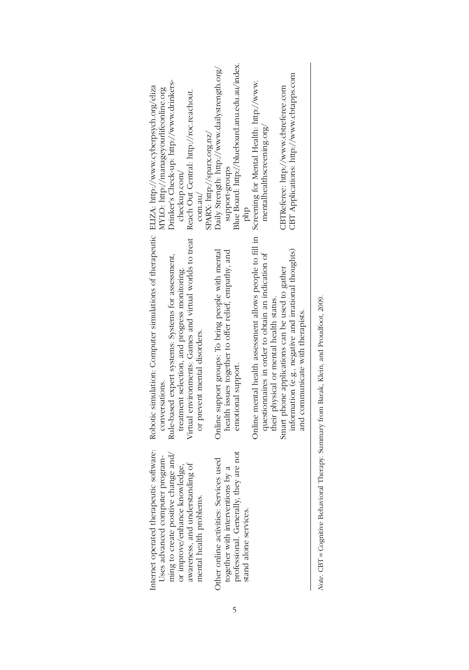| Drinker's Check-up: http://www.drinkers-<br>Internet operated therapeutic software: Robotic simulation: Computer simulations of therapeutic ELIZA: http://www.cyberpsych.org/eliza<br>MYLO: http://manageyourlifeonline.org<br>Reach Out Central: http://roc.reachout.<br>SPARX: http://sparx.org.nz/<br>checkup.com/<br>$com. \text{au}$ | Blue Board: http://blueboard.anu.edu.au/index.<br>Daily Strength: http://www.dailystrength.org/<br>CBT Applications: http://www.cbtapps.com<br>Screening for Mental Health: http://www.<br>CBTReferee: http://www.cbtreferee.com<br>mentalhealthscreening.org/<br>support-groups<br>php                                                                                                                                                     |                                          |
|-------------------------------------------------------------------------------------------------------------------------------------------------------------------------------------------------------------------------------------------------------------------------------------------------------------------------------------------|---------------------------------------------------------------------------------------------------------------------------------------------------------------------------------------------------------------------------------------------------------------------------------------------------------------------------------------------------------------------------------------------------------------------------------------------|------------------------------------------|
| Virtual environments: Games and virtual worlds to treat<br>Rule-based expert systems: Systems for assessment,<br>treatment selection, and progress monitoring.<br>or prevent mental disorders.<br>conversations.                                                                                                                          | Online mental health assessment allows people to fill in<br>Online support groups: To bring people with mental<br>information (e.g., negative and irrational thoughts)<br>health issues together to offer relief, empathy, and<br>questionnaires in order to obtain an indication of<br>Smart phone applications can be used to gather<br>their physical or mental health status.<br>and communicate with therapists.<br>emotional support. | くくく くうこう しょうしょう こうしょう こうしょう しょうしゃ        |
| ming to create positive change and/<br>Uses advanced computer program-<br>awareness, and understanding of<br>or improve/enhance knowledge,<br>mental health problems.                                                                                                                                                                     | professional. Generally, they are not<br>used<br>together with interventions by a<br>Other online activities: Services<br>stand alone services.                                                                                                                                                                                                                                                                                             | -<br>-<br>-<br>$\ddot{\phantom{0}}$<br>ļ |

Note. CBT = Cognitive Behavioral Therapy. Summary from Barak, Klein, and Proudfoot, 2009. Note. CBT = Cognitive Behavioral Therapy. Summary from Barak, Klein, and Proudfoot, 2009.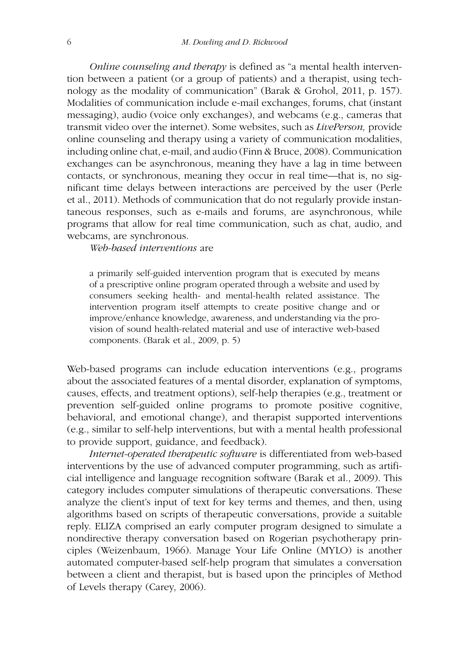Online counseling and therapy is defined as "a mental health intervention between a patient (or a group of patients) and a therapist, using technology as the modality of communication" (Barak & Grohol, 2011, p. 157). Modalities of communication include e-mail exchanges, forums, chat (instant messaging), audio (voice only exchanges), and webcams (e.g., cameras that transmit video over the internet). Some websites, such as *LivePerson*, provide online counseling and therapy using a variety of communication modalities, including online chat, e-mail, and audio (Finn & Bruce, 2008). Communication exchanges can be asynchronous, meaning they have a lag in time between contacts, or synchronous, meaning they occur in real time—that is, no significant time delays between interactions are perceived by the user (Perle et al., 2011). Methods of communication that do not regularly provide instantaneous responses, such as e-mails and forums, are asynchronous, while programs that allow for real time communication, such as chat, audio, and webcams, are synchronous.

Web-based interventions are

a primarily self-guided intervention program that is executed by means of a prescriptive online program operated through a website and used by consumers seeking health- and mental-health related assistance. The intervention program itself attempts to create positive change and or improve/enhance knowledge, awareness, and understanding via the provision of sound health-related material and use of interactive web-based components. (Barak et al., 2009, p. 5)

Web-based programs can include education interventions (e.g., programs about the associated features of a mental disorder, explanation of symptoms, causes, effects, and treatment options), self-help therapies (e.g., treatment or prevention self-guided online programs to promote positive cognitive, behavioral, and emotional change), and therapist supported interventions (e.g., similar to self-help interventions, but with a mental health professional to provide support, guidance, and feedback).

Internet-operated therapeutic software is differentiated from web-based interventions by the use of advanced computer programming, such as artificial intelligence and language recognition software (Barak et al., 2009). This category includes computer simulations of therapeutic conversations. These analyze the client's input of text for key terms and themes, and then, using algorithms based on scripts of therapeutic conversations, provide a suitable reply. ELIZA comprised an early computer program designed to simulate a nondirective therapy conversation based on Rogerian psychotherapy principles (Weizenbaum, 1966). Manage Your Life Online (MYLO) is another automated computer-based self-help program that simulates a conversation between a client and therapist, but is based upon the principles of Method of Levels therapy (Carey, 2006).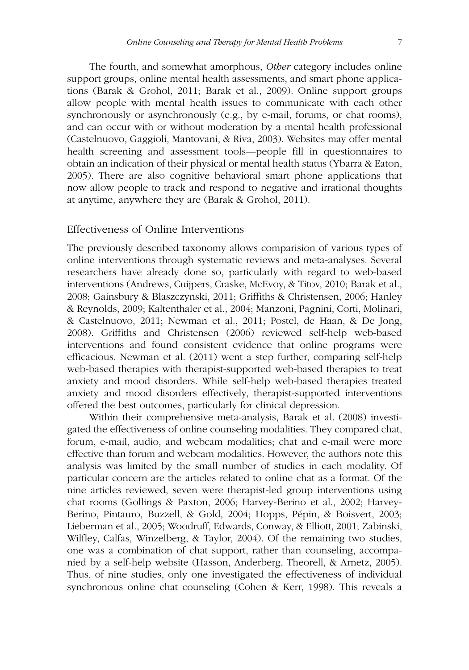The fourth, and somewhat amorphous, Other category includes online support groups, online mental health assessments, and smart phone applications (Barak & Grohol, 2011; Barak et al., 2009). Online support groups allow people with mental health issues to communicate with each other synchronously or asynchronously (e.g., by e-mail, forums, or chat rooms), and can occur with or without moderation by a mental health professional (Castelnuovo, Gaggioli, Mantovani, & Riva, 2003). Websites may offer mental health screening and assessment tools—people fill in questionnaires to obtain an indication of their physical or mental health status (Ybarra & Eaton, 2005). There are also cognitive behavioral smart phone applications that now allow people to track and respond to negative and irrational thoughts at anytime, anywhere they are (Barak & Grohol, 2011).

# Effectiveness of Online Interventions

The previously described taxonomy allows comparision of various types of online interventions through systematic reviews and meta-analyses. Several researchers have already done so, particularly with regard to web-based interventions (Andrews, Cuijpers, Craske, McEvoy, & Titov, 2010; Barak et al., 2008; Gainsbury & Blaszczynski, 2011; Griffiths & Christensen, 2006; Hanley & Reynolds, 2009; Kaltenthaler et al., 2004; Manzoni, Pagnini, Corti, Molinari, & Castelnuovo, 2011; Newman et al., 2011; Postel, de Haan, & De Jong, 2008). Griffiths and Christensen (2006) reviewed self-help web-based interventions and found consistent evidence that online programs were efficacious. Newman et al. (2011) went a step further, comparing self-help web-based therapies with therapist-supported web-based therapies to treat anxiety and mood disorders. While self-help web-based therapies treated anxiety and mood disorders effectively, therapist-supported interventions offered the best outcomes, particularly for clinical depression.

Within their comprehensive meta-analysis, Barak et al. (2008) investigated the effectiveness of online counseling modalities. They compared chat, forum, e-mail, audio, and webcam modalities; chat and e-mail were more effective than forum and webcam modalities. However, the authors note this analysis was limited by the small number of studies in each modality. Of particular concern are the articles related to online chat as a format. Of the nine articles reviewed, seven were therapist-led group interventions using chat rooms (Gollings & Paxton, 2006; Harvey-Berino et al., 2002; Harvey-Berino, Pintauro, Buzzell, & Gold, 2004; Hopps, Pépin, & Boisvert, 2003; Lieberman et al., 2005; Woodruff, Edwards, Conway, & Elliott, 2001; Zabinski, Wilfley, Calfas, Winzelberg, & Taylor, 2004). Of the remaining two studies, one was a combination of chat support, rather than counseling, accompanied by a self-help website (Hasson, Anderberg, Theorell, & Arnetz, 2005). Thus, of nine studies, only one investigated the effectiveness of individual synchronous online chat counseling (Cohen & Kerr, 1998). This reveals a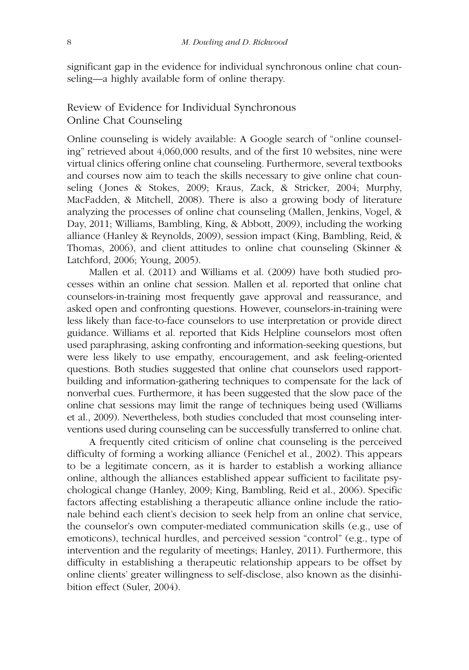significant gap in the evidence for individual synchronous online chat counseling—a highly available form of online therapy.

# Review of Evidence for Individual Synchronous Online Chat Counseling

Online counseling is widely available: A Google search of "online counseling" retrieved about 4,060,000 results, and of the first 10 websites, nine were virtual clinics offering online chat counseling. Furthermore, several textbooks and courses now aim to teach the skills necessary to give online chat counseling (Jones & Stokes, 2009; Kraus, Zack, & Stricker, 2004; Murphy, MacFadden, & Mitchell, 2008). There is also a growing body of literature analyzing the processes of online chat counseling (Mallen, Jenkins, Vogel, & Day, 2011; Williams, Bambling, King, & Abbott, 2009), including the working alliance (Hanley & Reynolds, 2009), session impact (King, Bambling, Reid, & Thomas, 2006), and client attitudes to online chat counseling (Skinner & Latchford, 2006; Young, 2005).

Mallen et al. (2011) and Williams et al. (2009) have both studied processes within an online chat session. Mallen et al. reported that online chat counselors-in-training most frequently gave approval and reassurance, and asked open and confronting questions. However, counselors-in-training were less likely than face-to-face counselors to use interpretation or provide direct guidance. Williams et al. reported that Kids Helpline counselors most often used paraphrasing, asking confronting and information-seeking questions, but were less likely to use empathy, encouragement, and ask feeling-oriented questions. Both studies suggested that online chat counselors used rapportbuilding and information-gathering techniques to compensate for the lack of nonverbal cues. Furthermore, it has been suggested that the slow pace of the online chat sessions may limit the range of techniques being used (Williams et al., 2009). Nevertheless, both studies concluded that most counseling interventions used during counseling can be successfully transferred to online chat.

A frequently cited criticism of online chat counseling is the perceived difficulty of forming a working alliance (Fenichel et al., 2002). This appears to be a legitimate concern, as it is harder to establish a working alliance online, although the alliances established appear sufficient to facilitate psychological change (Hanley, 2009; King, Bambling, Reid et al., 2006). Specific factors affecting establishing a therapeutic alliance online include the rationale behind each client's decision to seek help from an online chat service, the counselor's own computer-mediated communication skills (e.g., use of emoticons), technical hurdles, and perceived session "control" (e.g., type of intervention and the regularity of meetings; Hanley, 2011). Furthermore, this difficulty in establishing a therapeutic relationship appears to be offset by online clients' greater willingness to self-disclose, also known as the disinhibition effect (Suler, 2004).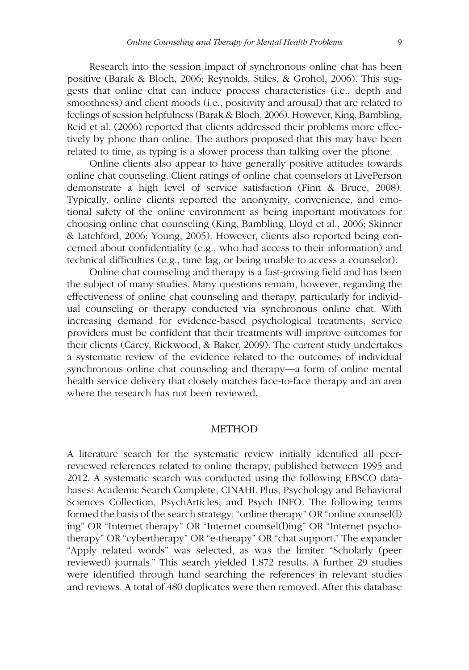Research into the session impact of synchronous online chat has been positive (Barak & Bloch, 2006; Reynolds, Stiles, & Grohol, 2006). This suggests that online chat can induce process characteristics (i.e., depth and smoothness) and client moods (i.e., positivity and arousal) that are related to feelings of session helpfulness (Barak & Bloch, 2006). However, King, Bambling, Reid et al. (2006) reported that clients addressed their problems more effectively by phone than online. The authors proposed that this may have been related to time, as typing is a slower process than talking over the phone.

Online clients also appear to have generally positive attitudes towards online chat counseling. Client ratings of online chat counselors at LivePerson demonstrate a high level of service satisfaction (Finn & Bruce, 2008). Typically, online clients reported the anonymity, convenience, and emotional safety of the online environment as being important motivators for choosing online chat counseling (King, Bambling, Lloyd et al., 2006; Skinner & Latchford, 2006; Young, 2005). However, clients also reported being concerned about confidentiality (e.g., who had access to their information) and technical difficulties (e.g., time lag, or being unable to access a counselor).

Online chat counseling and therapy is a fast-growing field and has been the subject of many studies. Many questions remain, however, regarding the effectiveness of online chat counseling and therapy, particularly for individual counseling or therapy conducted via synchronous online chat. With increasing demand for evidence-based psychological treatments, service providers must be confident that their treatments will improve outcomes for their clients (Carey, Rickwood, & Baker, 2009). The current study undertakes a systematic review of the evidence related to the outcomes of individual synchronous online chat counseling and therapy—a form of online mental health service delivery that closely matches face-to-face therapy and an area where the research has not been reviewed.

#### METHOD

A literature search for the systematic review initially identified all peerreviewed references related to online therapy, published between 1995 and 2012. A systematic search was conducted using the following EBSCO databases: Academic Search Complete, CINAHL Plus, Psychology and Behavioral Sciences Collection, PsychArticles, and Psych INFO. The following terms formed the basis of the search strategy: "online therapy" OR "online counsel(l) ing" OR "Internet therapy" OR "Internet counsel(l)ing" OR "Internet psychotherapy" OR "cybertherapy" OR "e-therapy" OR "chat support." The expander "Apply related words" was selected, as was the limiter "Scholarly (peer reviewed) journals." This search yielded 1,872 results. A further 29 studies were identified through hand searching the references in relevant studies and reviews. A total of 480 duplicates were then removed. After this database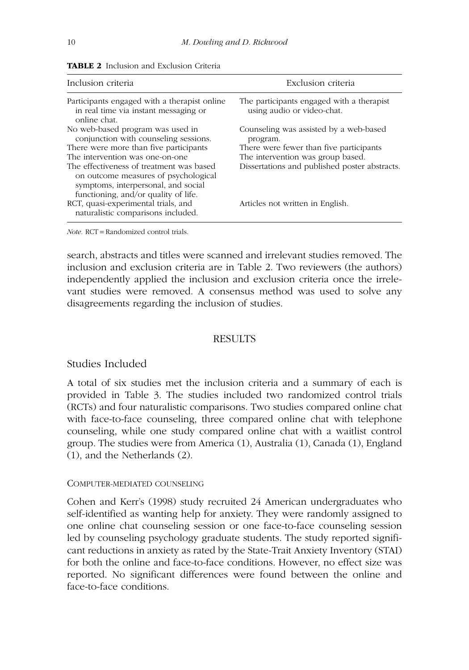| Inclusion criteria                                                                                                      | Exclusion criteria                                                      |
|-------------------------------------------------------------------------------------------------------------------------|-------------------------------------------------------------------------|
| Participants engaged with a therapist online<br>in real time via instant messaging or<br>online chat.                   | The participants engaged with a therapist<br>using audio or video-chat. |
| No web-based program was used in<br>conjunction with counseling sessions.                                               | Counseling was assisted by a web-based<br>program.                      |
| There were more than five participants                                                                                  | There were fewer than five participants                                 |
| The intervention was one-on-one                                                                                         | The intervention was group based.                                       |
| The effectiveness of treatment was based<br>on outcome measures of psychological<br>symptoms, interpersonal, and social | Dissertations and published poster abstracts.                           |
| functioning, and/or quality of life.                                                                                    |                                                                         |
| RCT, quasi-experimental trials, and<br>naturalistic comparisons included.                                               | Articles not written in English.                                        |

**TABLE 2** Inclusion and Exclusion Criteria

Note. RCT = Randomized control trials.

search, abstracts and titles were scanned and irrelevant studies removed. The inclusion and exclusion criteria are in Table 2. Two reviewers (the authors) independently applied the inclusion and exclusion criteria once the irrelevant studies were removed. A consensus method was used to solve any disagreements regarding the inclusion of studies.

#### **RESULTS**

## Studies Included

A total of six studies met the inclusion criteria and a summary of each is provided in Table 3. The studies included two randomized control trials (RCTs) and four naturalistic comparisons. Two studies compared online chat with face-to-face counseling, three compared online chat with telephone counseling, while one study compared online chat with a waitlist control group. The studies were from America (1), Australia (1), Canada (1), England (1), and the Netherlands (2).

#### COMPUTER-MEDIATED COUNSELING

Cohen and Kerr's (1998) study recruited 24 American undergraduates who self-identified as wanting help for anxiety. They were randomly assigned to one online chat counseling session or one face-to-face counseling session led by counseling psychology graduate students. The study reported significant reductions in anxiety as rated by the State-Trait Anxiety Inventory (STAI) for both the online and face-to-face conditions. However, no effect size was reported. No significant differences were found between the online and face-to-face conditions.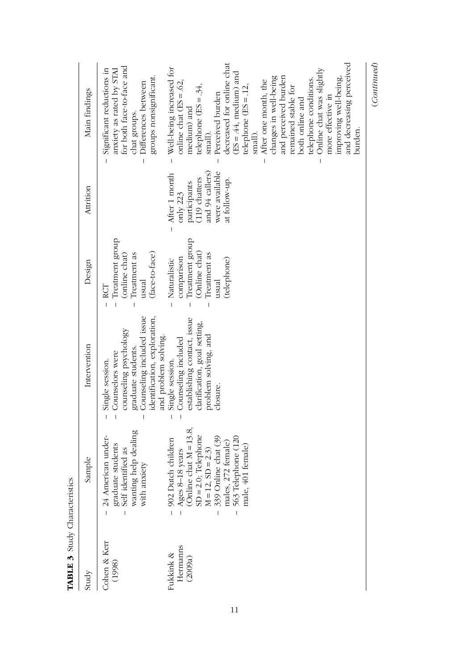| TABLE 3 Study Characteristics    |                                                                                                                                                                                                           |                                                                                                                                                                                          |                                                                                                                                                              |                                                                                                                                    |                                                                                                                                                                                                                                                                                                                                                                                                                                                                                                                                                                     |
|----------------------------------|-----------------------------------------------------------------------------------------------------------------------------------------------------------------------------------------------------------|------------------------------------------------------------------------------------------------------------------------------------------------------------------------------------------|--------------------------------------------------------------------------------------------------------------------------------------------------------------|------------------------------------------------------------------------------------------------------------------------------------|---------------------------------------------------------------------------------------------------------------------------------------------------------------------------------------------------------------------------------------------------------------------------------------------------------------------------------------------------------------------------------------------------------------------------------------------------------------------------------------------------------------------------------------------------------------------|
| Study                            | Sample                                                                                                                                                                                                    | Intervention                                                                                                                                                                             | Design                                                                                                                                                       | Attrition                                                                                                                          | Main findings                                                                                                                                                                                                                                                                                                                                                                                                                                                                                                                                                       |
| Cohen & Kerr<br>(1998)           | wanting help dealing<br>with anxiety<br>24 American under-<br>graduate students<br>Self identified as<br>$\overline{1}$<br>$\overline{1}$                                                                 | Counseling included issue<br>identification, exploration,<br>counseling psychology<br>and problem solving.<br>graduate students.<br>Counselors were<br>Single session.<br>$\overline{1}$ | Treatment group<br>(face-to-face)<br>Treatment as<br>(online chat)<br>usual<br>RCT                                                                           |                                                                                                                                    | anxiety as rated by STAI<br>for both face-to-face and<br>Significant reductions in<br>groups nonsignificant.<br>Differences between<br>chat groups.<br>$\begin{array}{c} \hline \end{array}$                                                                                                                                                                                                                                                                                                                                                                        |
| Fukkink &<br>Hermanns<br>(2009a) | chat $M = 13.8$ ,<br>- Ages 8-18 years<br>(Online chat $M = 13.8$<br>SD = 2.0; Telephone<br>$M = 12$ , SD = 2.3)<br>$M = 12$ , SD = 2.3)<br>- 339 Online chat (39<br>902 Dutch children<br>$\overline{1}$ | establishing contact, issue<br>clarification, goal setting,<br>problem solving, and<br>Counseling included<br>Single session.<br>closure<br>$\overline{1}$<br>$\overline{\phantom{a}}$   | Treatment group<br>Treatment as<br>(Online chat)<br>comparison<br>(telephone)<br>Naturalistic<br>usual<br>$\overline{1}$<br>$\overline{1}$<br>$\overline{1}$ | were available<br>After 1 month<br>and 94 callers)<br>participants<br>(119 chatters<br>at follow-up.<br>only 223<br>$\overline{1}$ | decreased for online chat<br>- Well-being increased for<br>online chat $(ES = .62, )$<br>telephone $(ES = .34, )$<br>Perceived burden<br>medium) and<br>small).<br>$\overline{1}$                                                                                                                                                                                                                                                                                                                                                                                   |
|                                  | males, 272 female)<br>563 Telephone (120<br>male, 401 female)<br>$\overline{1}$                                                                                                                           |                                                                                                                                                                                          |                                                                                                                                                              |                                                                                                                                    | $(ES = .44, medium)$ and<br>and perceived burden<br>changes in well-being<br>After one month, the<br>telephone $(ES = .12,$<br>small).<br>$\overline{1}$                                                                                                                                                                                                                                                                                                                                                                                                            |
|                                  |                                                                                                                                                                                                           |                                                                                                                                                                                          |                                                                                                                                                              |                                                                                                                                    | and decreasing perceived<br>Online chat was slightly<br>improving well-being,<br>telephone conditions.<br>remained stable for<br>more effective in<br>both online and<br>burden<br>$\begin{array}{c} \rule{0pt}{2.5ex} \rule{0pt}{2.5ex} \rule{0pt}{2.5ex} \rule{0pt}{2.5ex} \rule{0pt}{2.5ex} \rule{0pt}{2.5ex} \rule{0pt}{2.5ex} \rule{0pt}{2.5ex} \rule{0pt}{2.5ex} \rule{0pt}{2.5ex} \rule{0pt}{2.5ex} \rule{0pt}{2.5ex} \rule{0pt}{2.5ex} \rule{0pt}{2.5ex} \rule{0pt}{2.5ex} \rule{0pt}{2.5ex} \rule{0pt}{2.5ex} \rule{0pt}{2.5ex} \rule{0pt}{2.5ex} \rule{0$ |

 $(Continued) % \begin{minipage}[b]{0.5\linewidth} \centering \centerline{\includegraphics[width=0.5\linewidth]{images/STM1000.pdf} \centerline{\includegraphics[width=0.5\linewidth]{images/STM1000.pdf} \centerline{\includegraphics[width=0.5\linewidth]{images/STM1000.pdf} \centerline{\includegraphics[width=0.5\linewidth]{images/STM1000.pdf} \centerline{\includegraphics[width=0.5\linewidth]{images/STM1000.pdf} \centerline{\includegraphics[width=0.5\linewidth]{images/STM1000.pdf} \centerline{\includegraphics[width=0.5\linewidth]{images/STM1000.pdf} \centerline{\includegraphics[width=0.5\linewidth]{images/STM100$ (Continued)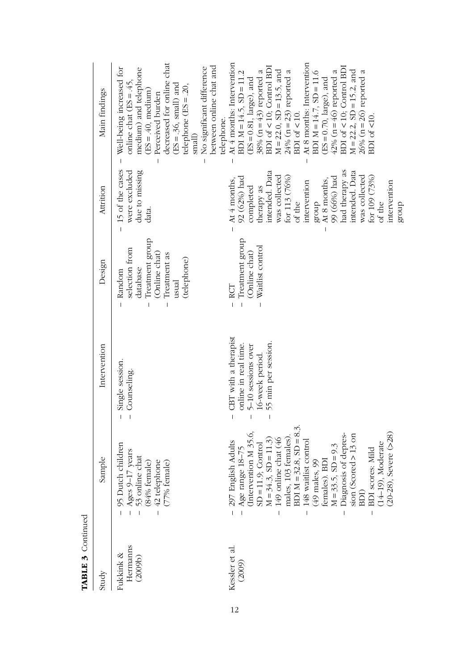TABLE 3 Continued **TABLE 3** Continued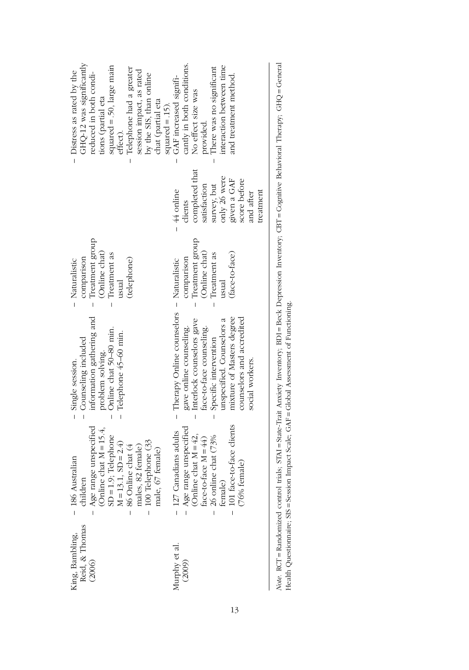| GHQ-12 was significantly<br>squared $= 50$ , large main<br>- Telephone had a greater<br>session impact, as rated<br>Distress as rated by the<br>reduced in both condi-<br>by the SIS, than online<br>tions (partial eta<br>chat (partial eta<br>squared $= .15$ ).<br>effect). | cantly in both conditions.<br>interaction between time<br>There was no significant<br>and treatment method.<br>GAF increased signifi-<br>No effect size was<br>provided.<br>$\overline{1}$                                                                             |
|--------------------------------------------------------------------------------------------------------------------------------------------------------------------------------------------------------------------------------------------------------------------------------|------------------------------------------------------------------------------------------------------------------------------------------------------------------------------------------------------------------------------------------------------------------------|
|                                                                                                                                                                                                                                                                                | completed that<br>only 26 were<br>given a GAF<br>score before<br>satisfaction<br>survey, but<br>44 online<br>treatment<br>and after<br>clients<br>$\overline{1}$                                                                                                       |
| - Treatment group<br>(Online chat)<br>$-$ Treatment as<br>comparison<br>(telephone)<br>- Naturalistic<br>usual                                                                                                                                                                 | - Treatment group<br>(Online chat)<br>(face-to-face)<br>Treatment as<br>comparison<br>usual                                                                                                                                                                            |
| information gathering and<br>Online chat 50–80 min.<br>- Telephone 45-60 min.<br>Counseling included<br>problem solving.<br>Single session.<br>$\overline{1}$<br>$\overline{1}$<br>$\overline{1}$                                                                              | - Therapy Online counselors - Naturalistic<br>mixture of Masters degree<br>counselors and accredited<br>Interlock counselors gave<br>unspecified. Counselors a<br>gave online counseling.<br>face-to-face counseling.<br>Specific intervention<br>social workers.<br>Ĺ |
| Age range unspecified<br>(Online chat $M = 15.4$ , SD = 1.9; Telephone<br>males, 82 female)<br>100 Telephone (33<br>male, 67 female)<br>$M = 13.1, SD = 2.4$<br>86 Online chat (4<br>- 186 Australian<br>children                                                              | female)<br>101 face-to-face clients<br>(76% female)<br>Age range unspecified<br>- 127 Canadians adults<br>(Online chat $M = 42$ ,<br>26 online chat (73%<br>face-to-face $M = 44$ )                                                                                    |
| King, Bambling,<br>Reid, & Thomas<br>(2006)                                                                                                                                                                                                                                    | Murphy et al.<br>(2009)                                                                                                                                                                                                                                                |

Note. RCT = Randomized control trials; STAI = State-Trait Anxiety Inventory; BDI = Beck Depression Inventory; CBT = Cognitive Behavioral Therapy; GHQ = General<br>Health Questionnaire; SIS = Session Impact Scale; GAF = Global Note. RCT = Randomized control trials; STAI = State-Trait Anxiety Inventory; BDI = Beck Depression Inventory; CBT = Cognitive Behavioral Therapy; GHQ = General Health Questionnaire; SIS = Session Impact Scale; GAF = Global Assessment of Functioning.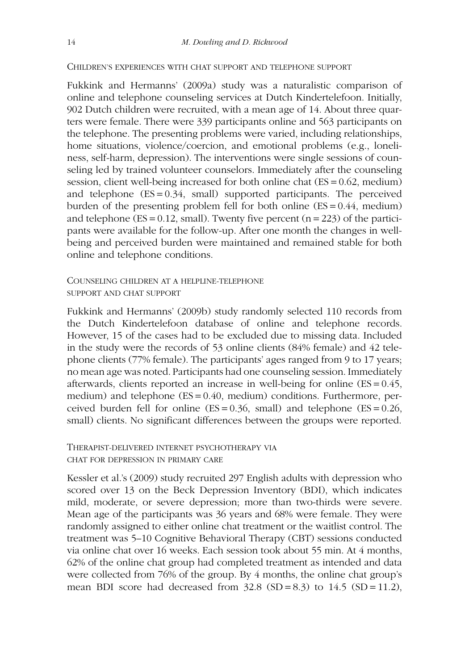#### CHILDREN'S EXPERIENCES WITH CHAT SUPPORT AND TELEPHONE SUPPORT

Fukkink and Hermanns' (2009a) study was a naturalistic comparison of online and telephone counseling services at Dutch Kindertelefoon. Initially, 902 Dutch children were recruited, with a mean age of 14. About three quarters were female. There were 339 participants online and 563 participants on the telephone. The presenting problems were varied, including relationships, home situations, violence/coercion, and emotional problems (e.g., loneliness, self-harm, depression). The interventions were single sessions of counseling led by trained volunteer counselors. Immediately after the counseling session, client well-being increased for both online chat (ES = 0.62, medium) and telephone  $(ES = 0.34, small)$  supported participants. The perceived burden of the presenting problem fell for both online  $(ES = 0.44, \text{ medium})$ and telephone ( $ES = 0.12$ , small). Twenty five percent ( $n = 223$ ) of the participants were available for the follow-up. After one month the changes in wellbeing and perceived burden were maintained and remained stable for both online and telephone conditions.

COUNSELING CHILDREN AT A HELPLINE-TELEPHONE SUPPORT AND CHAT SUPPORT

Fukkink and Hermanns' (2009b) study randomly selected 110 records from the Dutch Kindertelefoon database of online and telephone records. However, 15 of the cases had to be excluded due to missing data. Included in the study were the records of 53 online clients (84% female) and 42 telephone clients (77% female). The participants' ages ranged from 9 to 17 years; no mean age was noted. Participants had one counseling session. Immediately afterwards, clients reported an increase in well-being for online  $(ES = 0.45,$ medium) and telephone (ES = 0.40, medium) conditions. Furthermore, perceived burden fell for online  $(ES = 0.36, small)$  and telephone  $(ES = 0.26,$ small) clients. No significant differences between the groups were reported.

THERAPIST-DELIVERED INTERNET PSYCHOTHERAPY VIA CHAT FOR DEPRESSION IN PRIMARY CARE

Kessler et al.'s (2009) study recruited 297 English adults with depression who scored over 13 on the Beck Depression Inventory (BDI), which indicates mild, moderate, or severe depression; more than two-thirds were severe. Mean age of the participants was 36 years and 68% were female. They were randomly assigned to either online chat treatment or the waitlist control. The treatment was 5–10 Cognitive Behavioral Therapy (CBT) sessions conducted via online chat over 16 weeks. Each session took about 55 min. At 4 months, 62% of the online chat group had completed treatment as intended and data were collected from 76% of the group. By 4 months, the online chat group's mean BDI score had decreased from  $32.8 \text{ (SD = 8.3)}$  to  $14.5 \text{ (SD = 11.2)}$ ,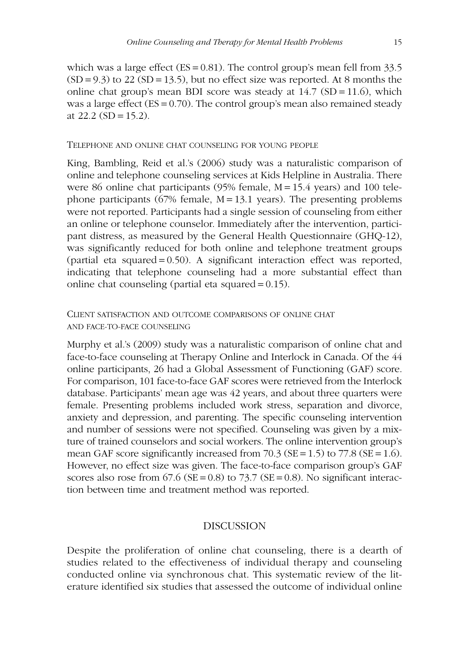which was a large effect ( $ES = 0.81$ ). The control group's mean fell from 33.5  $(SD = 9.3)$  to 22  $(SD = 13.5)$ , but no effect size was reported. At 8 months the online chat group's mean BDI score was steady at  $14.7$  (SD = 11.6), which was a large effect  $(ES = 0.70)$ . The control group's mean also remained steady at  $22.2$  (SD = 15.2).

#### TELEPHONE AND ONLINE CHAT COUNSELING FOR YOUNG PEOPLE

King, Bambling, Reid et al.'s (2006) study was a naturalistic comparison of online and telephone counseling services at Kids Helpline in Australia. There were 86 online chat participants (95% female,  $M = 15.4$  years) and 100 telephone participants (67% female,  $M = 13.1$  years). The presenting problems were not reported. Participants had a single session of counseling from either an online or telephone counselor. Immediately after the intervention, participant distress, as measured by the General Health Questionnaire (GHQ-12), was significantly reduced for both online and telephone treatment groups (partial eta squared = 0.50). A significant interaction effect was reported, indicating that telephone counseling had a more substantial effect than online chat counseling (partial eta squared  $= 0.15$ ).

## CLIENT SATISFACTION AND OUTCOME COMPARISONS OF ONLINE CHAT AND FACE-TO-FACE COUNSELING

Murphy et al.'s (2009) study was a naturalistic comparison of online chat and face-to-face counseling at Therapy Online and Interlock in Canada. Of the 44 online participants, 26 had a Global Assessment of Functioning (GAF) score. For comparison, 101 face-to-face GAF scores were retrieved from the Interlock database. Participants' mean age was 42 years, and about three quarters were female. Presenting problems included work stress, separation and divorce, anxiety and depression, and parenting. The specific counseling intervention and number of sessions were not specified. Counseling was given by a mixture of trained counselors and social workers. The online intervention group's mean GAF score significantly increased from 70.3 ( $SE = 1.5$ ) to 77.8 ( $SE = 1.6$ ). However, no effect size was given. The face-to-face comparison group's GAF scores also rose from  $67.6$  (SE = 0.8) to 73.7 (SE = 0.8). No significant interaction between time and treatment method was reported.

#### DISCUSSION

Despite the proliferation of online chat counseling, there is a dearth of studies related to the effectiveness of individual therapy and counseling conducted online via synchronous chat. This systematic review of the literature identified six studies that assessed the outcome of individual online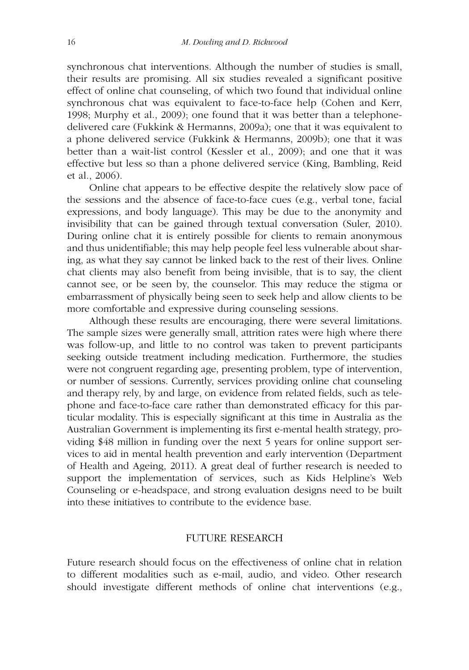synchronous chat interventions. Although the number of studies is small, their results are promising. All six studies revealed a significant positive effect of online chat counseling, of which two found that individual online synchronous chat was equivalent to face-to-face help (Cohen and Kerr, 1998; Murphy et al., 2009); one found that it was better than a telephonedelivered care (Fukkink & Hermanns, 2009a); one that it was equivalent to a phone delivered service (Fukkink & Hermanns, 2009b); one that it was better than a wait-list control (Kessler et al., 2009); and one that it was effective but less so than a phone delivered service (King, Bambling, Reid et al., 2006).

Online chat appears to be effective despite the relatively slow pace of the sessions and the absence of face-to-face cues (e.g., verbal tone, facial expressions, and body language). This may be due to the anonymity and invisibility that can be gained through textual conversation (Suler, 2010). During online chat it is entirely possible for clients to remain anonymous and thus unidentifiable; this may help people feel less vulnerable about sharing, as what they say cannot be linked back to the rest of their lives. Online chat clients may also benefit from being invisible, that is to say, the client cannot see, or be seen by, the counselor. This may reduce the stigma or embarrassment of physically being seen to seek help and allow clients to be more comfortable and expressive during counseling sessions.

Although these results are encouraging, there were several limitations. The sample sizes were generally small, attrition rates were high where there was follow-up, and little to no control was taken to prevent participants seeking outside treatment including medication. Furthermore, the studies were not congruent regarding age, presenting problem, type of intervention, or number of sessions. Currently, services providing online chat counseling and therapy rely, by and large, on evidence from related fields, such as telephone and face-to-face care rather than demonstrated efficacy for this particular modality. This is especially significant at this time in Australia as the Australian Government is implementing its first e-mental health strategy, providing \$48 million in funding over the next 5 years for online support services to aid in mental health prevention and early intervention (Department of Health and Ageing, 2011). A great deal of further research is needed to support the implementation of services, such as Kids Helpline's Web Counseling or e-headspace, and strong evaluation designs need to be built into these initiatives to contribute to the evidence base.

#### FUTURE RESEARCH

Future research should focus on the effectiveness of online chat in relation to different modalities such as e-mail, audio, and video. Other research should investigate different methods of online chat interventions (e.g.,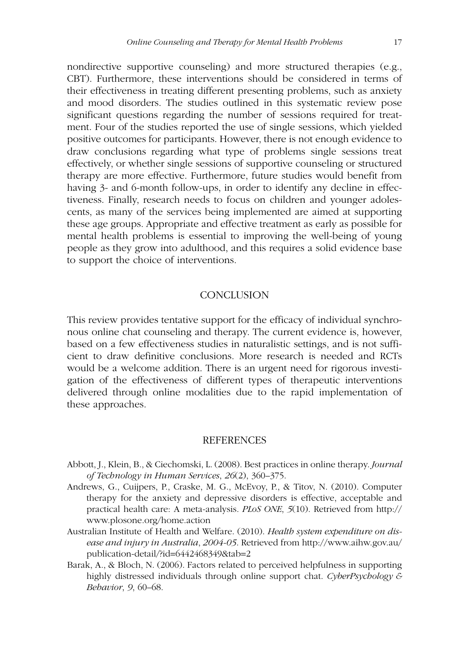nondirective supportive counseling) and more structured therapies (e.g., CBT). Furthermore, these interventions should be considered in terms of

their effectiveness in treating different presenting problems, such as anxiety and mood disorders. The studies outlined in this systematic review pose significant questions regarding the number of sessions required for treatment. Four of the studies reported the use of single sessions, which yielded positive outcomes for participants. However, there is not enough evidence to draw conclusions regarding what type of problems single sessions treat effectively, or whether single sessions of supportive counseling or structured therapy are more effective. Furthermore, future studies would benefit from having 3- and 6-month follow-ups, in order to identify any decline in effectiveness. Finally, research needs to focus on children and younger adolescents, as many of the services being implemented are aimed at supporting these age groups. Appropriate and effective treatment as early as possible for mental health problems is essential to improving the well-being of young people as they grow into adulthood, and this requires a solid evidence base to support the choice of interventions.

#### **CONCLUSION**

This review provides tentative support for the efficacy of individual synchronous online chat counseling and therapy. The current evidence is, however, based on a few effectiveness studies in naturalistic settings, and is not sufficient to draw definitive conclusions. More research is needed and RCTs would be a welcome addition. There is an urgent need for rigorous investigation of the effectiveness of different types of therapeutic interventions delivered through online modalities due to the rapid implementation of these approaches.

#### **REFERENCES**

- Abbott, J., Klein, B., & Ciechomski, L. (2008). Best practices in online therapy. Journal of Technology in Human Services, 26(2), 360–375.
- Andrews, G., Cuijpers, P., Craske, M. G., McEvoy, P., & Titov, N. (2010). Computer therapy for the anxiety and depressive disorders is effective, acceptable and practical health care: A meta-analysis. PLoS ONE, 5(10). Retrieved from http:// www.plosone.org/home.action
- Australian Institute of Health and Welfare. (2010). Health system expenditure on disease and injury in Australia, 2004-05. Retrieved from http://www.aihw.gov.au/ publication-detail/?id=6442468349&tab=2
- Barak, A., & Bloch, N. (2006). Factors related to perceived helpfulness in supporting highly distressed individuals through online support chat. CyberPsychology & Behavior, 9, 60–68.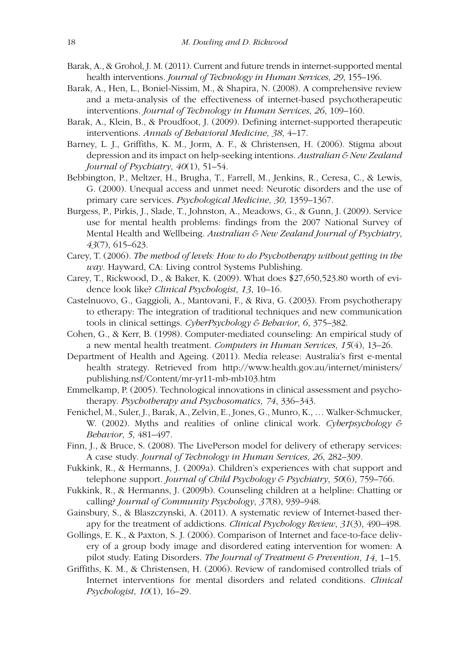- Barak, A., & Grohol, J. M. (2011). Current and future trends in internet-supported mental health interventions. Journal of Technology in Human Services, 29, 155–196.
- Barak, A., Hen, L., Boniel-Nissim, M., & Shapira, N. (2008). A comprehensive review and a meta-analysis of the effectiveness of internet-based psychotherapeutic interventions. Journal of Technology in Human Services, 26, 109–160.
- Barak, A., Klein, B., & Proudfoot, J. (2009). Defining internet-supported therapeutic interventions. Annals of Behavioral Medicine, 38, 4–17.
- Barney, L. J., Griffiths, K. M., Jorm, A. F., & Christensen, H. (2006). Stigma about depression and its impact on help-seeking intentions. Australian & New Zealand Journal of Psychiatry, 40(1), 51–54.
- Bebbington, P., Meltzer, H., Brugha, T., Farrell, M., Jenkins, R., Ceresa, C., & Lewis, G. (2000). Unequal access and unmet need: Neurotic disorders and the use of primary care services. Psychological Medicine, 30, 1359–1367.
- Burgess, P., Pirkis, J., Slade, T., Johnston, A., Meadows, G., & Gunn, J. (2009). Service use for mental health problems: findings from the 2007 National Survey of Mental Health and Wellbeing. Australian & New Zealand Journal of Psychiatry, 43(7), 615–623.
- Carey, T. (2006). The method of levels: How to do Psychotherapy without getting in the way. Hayward, CA: Living control Systems Publishing.
- Carey, T., Rickwood, D., & Baker, K. (2009). What does \$27,650,523.80 worth of evidence look like? Clinical Psychologist, 13, 10–16.
- Castelnuovo, G., Gaggioli, A., Mantovani, F., & Riva, G. (2003). From psychotherapy to etherapy: The integration of traditional techniques and new communication tools in clinical settings. CyberPsychology & Behavior, 6, 375–382.
- Cohen, G., & Kerr, B. (1998). Computer-mediated counseling: An empirical study of a new mental health treatment. Computers in Human Services, 15(4), 13–26.
- Department of Health and Ageing. (2011). Media release: Australia's first e-mental health strategy. Retrieved from http://www.health.gov.au/internet/ministers/ publishing.nsf/Content/mr-yr11-mb-mb103.htm
- Emmelkamp, P. (2005). Technological innovations in clinical assessment and psychotherapy. Psychotherapy and Psychosomatics, 74, 336–343.
- Fenichel, M., Suler, J., Barak, A., Zelvin, E., Jones, G., Munro, K., … Walker-Schmucker, W. (2002). Myths and realities of online clinical work. Cyberpsychology & Behavior, 5, 481–497.
- Finn, J., & Bruce, S. (2008). The LivePerson model for delivery of etherapy services: A case study. Journal of Technology in Human Services, 26, 282–309.
- Fukkink, R., & Hermanns, J. (2009a). Children's experiences with chat support and telephone support. Journal of Child Psychology & Psychiatry,  $50(6)$ , 759–766.
- Fukkink, R., & Hermanns, J. (2009b). Counseling children at a helpline: Chatting or calling? Journal of Community Psychology, 37(8), 939–948.
- Gainsbury, S., & Blaszczynski, A. (2011). A systematic review of Internet-based therapy for the treatment of addictions. Clinical Psychology Review, 31(3), 490–498.
- Gollings, E. K., & Paxton, S. J. (2006). Comparison of Internet and face-to-face delivery of a group body image and disordered eating intervention for women: A pilot study. Eating Disorders. The Journal of Treatment & Prevention, 14, 1–15.
- Griffiths, K. M., & Christensen, H. (2006). Review of randomised controlled trials of Internet interventions for mental disorders and related conditions. Clinical Psychologist, 10(1), 16–29.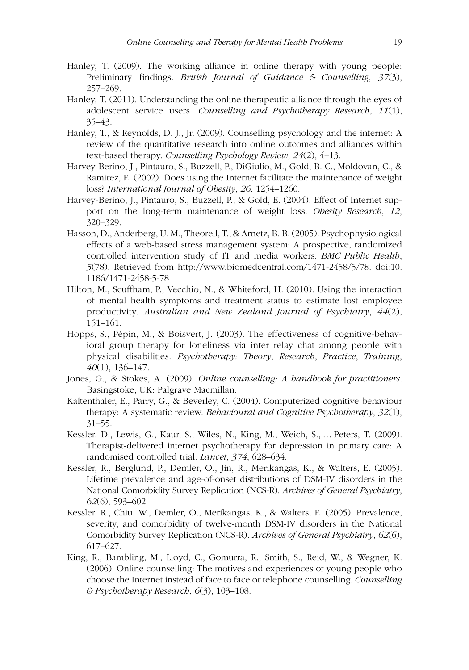- Hanley, T. (2009). The working alliance in online therapy with young people: Preliminary findings. British Journal of Guidance & Counselling,  $37(3)$ , 257–269.
- Hanley, T. (2011). Understanding the online therapeutic alliance through the eyes of adolescent service users. Counselling and Psychotherapy Research, 11(1), 35–43.
- Hanley, T., & Reynolds, D. J., Jr. (2009). Counselling psychology and the internet: A review of the quantitative research into online outcomes and alliances within text-based therapy. Counselling Psychology Review, 24(2), 4–13.
- Harvey-Berino, J., Pintauro, S., Buzzell, P., DiGiulio, M., Gold, B. C., Moldovan, C., & Ramirez, E. (2002). Does using the Internet facilitate the maintenance of weight loss? International Journal of Obesity, 26, 1254–1260.
- Harvey-Berino, J., Pintauro, S., Buzzell, P., & Gold, E. (2004). Effect of Internet support on the long-term maintenance of weight loss. Obesity Research, 12, 320–329.
- Hasson, D., Anderberg, U. M., Theorell, T., & Arnetz, B. B. (2005). Psychophysiological effects of a web-based stress management system: A prospective, randomized controlled intervention study of IT and media workers. BMC Public Health, 5(78). Retrieved from http://www.biomedcentral.com/1471-2458/5/78. doi:10. 1186/1471-2458-5-78
- Hilton, M., Scuffham, P., Vecchio, N., & Whiteford, H. (2010). Using the interaction of mental health symptoms and treatment status to estimate lost employee productivity. Australian and New Zealand Journal of Psychiatry, 44(2), 151–161.
- Hopps, S., Pépin, M., & Boisvert, J. (2003). The effectiveness of cognitive-behavioral group therapy for loneliness via inter relay chat among people with physical disabilities. Psychotherapy: Theory, Research, Practice, Training, 40(1), 136–147.
- Jones, G., & Stokes, A. (2009). Online counselling: A handbook for practitioners. Basingstoke, UK: Palgrave Macmillan.
- Kaltenthaler, E., Parry, G., & Beverley, C. (2004). Computerized cognitive behaviour therapy: A systematic review. Behavioural and Cognitive Psychotherapy, 32(1), 31–55.
- Kessler, D., Lewis, G., Kaur, S., Wiles, N., King, M., Weich, S., … Peters, T. (2009). Therapist-delivered internet psychotherapy for depression in primary care: A randomised controlled trial. Lancet, 374, 628–634.
- Kessler, R., Berglund, P., Demler, O., Jin, R., Merikangas, K., & Walters, E. (2005). Lifetime prevalence and age-of-onset distributions of DSM-IV disorders in the National Comorbidity Survey Replication (NCS-R). Archives of General Psychiatry, 62(6), 593–602.
- Kessler, R., Chiu, W., Demler, O., Merikangas, K., & Walters, E. (2005). Prevalence, severity, and comorbidity of twelve-month DSM-IV disorders in the National Comorbidity Survey Replication (NCS-R). Archives of General Psychiatry, 62(6), 617–627.
- King, R., Bambling, M., Lloyd, C., Gomurra, R., Smith, S., Reid, W., & Wegner, K. (2006). Online counselling: The motives and experiences of young people who choose the Internet instead of face to face or telephone counselling. Counselling & Psychotherapy Research, 6(3), 103–108.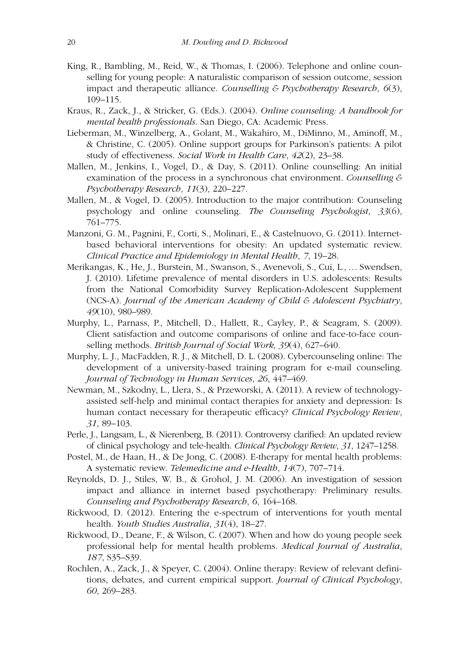- King, R., Bambling, M., Reid, W., & Thomas, I. (2006). Telephone and online counselling for young people: A naturalistic comparison of session outcome, session impact and therapeutic alliance. Counselling  $\&$  Psychotherapy Research, 6(3), 109–115.
- Kraus, R., Zack, J., & Stricker, G. (Eds.). (2004). Online counseling: A handbook for mental health professionals. San Diego, CA: Academic Press.
- Lieberman, M., Winzelberg, A., Golant, M., Wakahiro, M., DiMinno, M., Aminoff, M., & Christine, C. (2005). Online support groups for Parkinson's patients: A pilot study of effectiveness. Social Work in Health Care, 42(2), 23–38.
- Mallen, M., Jenkins, I., Vogel, D., & Day, S. (2011). Online counselling: An initial examination of the process in a synchronous chat environment. Counselling & Psychotherapy Research, 11(3), 220–227.
- Mallen, M., & Vogel, D. (2005). Introduction to the major contribution: Counseling psychology and online counseling. The Counseling Psychologist, 33(6), 761–775.
- Manzoni, G. M., Pagnini, F., Corti, S., Molinari, E., & Castelnuovo, G. (2011). Internetbased behavioral interventions for obesity: An updated systematic review. Clinical Practice and Epidemiology in Mental Health, 7, 19–28.
- Merikangas, K., He, J., Burstein, M., Swanson, S., Avenevoli, S., Cui, L., … Swendsen, J. (2010). Lifetime prevalence of mental disorders in U.S. adolescents: Results from the National Comorbidity Survey Replication-Adolescent Supplement (NCS-A). Journal of the American Academy of Child & Adolescent Psychiatry, 49(10), 980–989.
- Murphy, L., Parnass, P., Mitchell, D., Hallett, R., Cayley, P., & Seagram, S. (2009). Client satisfaction and outcome comparisons of online and face-to-face counselling methods. British Journal of Social Work, 39(4), 627–640.
- Murphy, L. J., MacFadden, R. J., & Mitchell, D. L. (2008). Cybercounseling online: The development of a university-based training program for e-mail counseling. Journal of Technology in Human Services, 26, 447–469.
- Newman, M., Szkodny, L., Llera, S., & Przeworski, A. (2011). A review of technologyassisted self-help and minimal contact therapies for anxiety and depression: Is human contact necessary for therapeutic efficacy? Clinical Psychology Review, 31, 89–103.
- Perle, J., Langsam, L., & Nierenberg, B. (2011). Controversy clarified: An updated review of clinical psychology and tele-health. Clinical Psychology Review, 31, 1247–1258.
- Postel, M., de Haan, H., & De Jong, C. (2008). E-therapy for mental health problems: A systematic review. Telemedicine and e-Health, 14(7), 707–714.
- Reynolds, D. J., Stiles, W. B., & Grohol, J. M. (2006). An investigation of session impact and alliance in internet based psychotherapy: Preliminary results. Counseling and Psychotherapy Research, 6, 164–168.
- Rickwood, D. (2012). Entering the e-spectrum of interventions for youth mental health. Youth Studies Australia, 31(4), 18–27.
- Rickwood, D., Deane, F., & Wilson, C. (2007). When and how do young people seek professional help for mental health problems. Medical Journal of Australia, 187, S35–S39.
- Rochlen, A., Zack, J., & Speyer, C. (2004). Online therapy: Review of relevant definitions, debates, and current empirical support. Journal of Clinical Psychology, 60, 269–283.